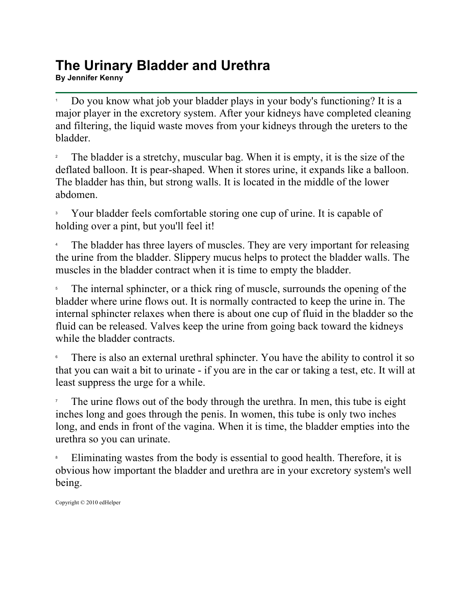## **The Urinary Bladder and Urethra By Jennifer Kenny**<br>By Jennifer Kenny

1 Do you know what job your bladder plays in your body's functioning? It is a major player in the excretory system. After your kidneys have completed cleaning and filtering, the liquid waste moves from your kidneys through the ureters to the bladder.

2 The bladder is a stretchy, muscular bag. When it is empty, it is the size of the deflated balloon. It is pear-shaped. When it stores urine, it expands like a balloon. The bladder has thin, but strong walls. It is located in the middle of the lower abdomen.

3 Your bladder feels comfortable storing one cup of urine. It is capable of holding over a pint, but you'll feel it!

4 The bladder has three layers of muscles. They are very important for releasing the urine from the bladder. Slippery mucus helps to protect the bladder walls. The muscles in the bladder contract when it is time to empty the bladder.

5 The internal sphincter, or a thick ring of muscle, surrounds the opening of the bladder where urine flows out. It is normally contracted to keep the urine in. The internal sphincter relaxes when there is about one cup of fluid in the bladder so the fluid can be released. Valves keep the urine from going back toward the kidneys while the bladder contracts.

6 There is also an external urethral sphincter. You have the ability to control it so that you can wait a bit to urinate - if you are in the car or taking a test, etc. It will at least suppress the urge for a while.

7 The urine flows out of the body through the urethra. In men, this tube is eight inches long and goes through the penis. In women, this tube is only two inches long, and ends in front of the vagina. When it is time, the bladder empties into the urethra so you can urinate.

8 Eliminating wastes from the body is essential to good health. Therefore, it is obvious how important the bladder and urethra are in your excretory system's well being.

Copyright © 2010 edHelper